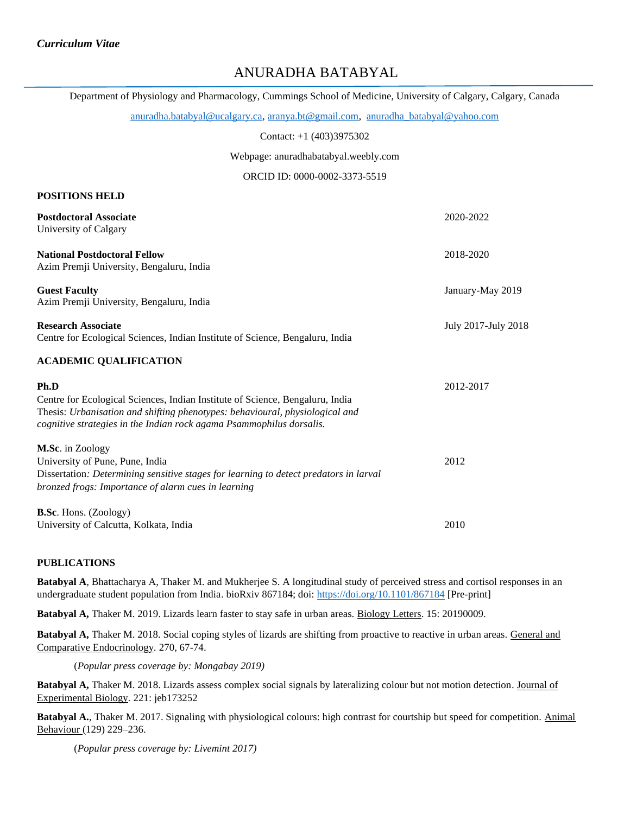**POSITIONS HELD**

# ANURADHA BATABYAL

Department of Physiology and Pharmacology, Cummings School of Medicine, University of Calgary, Calgary, Canada

[anuradha.batabyal@ucalgary.ca,](mailto:anuradha.batabyal@ucalgary.ca) [aranya.bt@gmail.com,](mailto:aranya.bt@gmail.com) [anuradha\\_batabyal@yahoo.com](mailto:anuradha_batabyal@yahoo.com)

Contact: +1 (403)3975302

Webpage: anuradhabatabyal.weebly.com

ORCID ID: 0000-0002-3373-5519

| <b>Postdoctoral Associate</b><br>University of Calgary                                                                                                                                                                                        | 2020-2022           |
|-----------------------------------------------------------------------------------------------------------------------------------------------------------------------------------------------------------------------------------------------|---------------------|
| <b>National Postdoctoral Fellow</b><br>Azim Premji University, Bengaluru, India                                                                                                                                                               | 2018-2020           |
| <b>Guest Faculty</b><br>Azim Premji University, Bengaluru, India                                                                                                                                                                              | January-May 2019    |
| <b>Research Associate</b><br>Centre for Ecological Sciences, Indian Institute of Science, Bengaluru, India                                                                                                                                    | July 2017-July 2018 |
| <b>ACADEMIC QUALIFICATION</b>                                                                                                                                                                                                                 |                     |
| Ph.D<br>Centre for Ecological Sciences, Indian Institute of Science, Bengaluru, India<br>Thesis: Urbanisation and shifting phenotypes: behavioural, physiological and<br>cognitive strategies in the Indian rock agama Psammophilus dorsalis. | 2012-2017           |
| M.Sc. in Zoology<br>University of Pune, Pune, India<br>Dissertation: Determining sensitive stages for learning to detect predators in larval<br>bronzed frogs: Importance of alarm cues in learning                                           | 2012                |
| <b>B.Sc.</b> Hons. (Zoology)<br>University of Calcutta, Kolkata, India                                                                                                                                                                        | 2010                |

### **PUBLICATIONS**

**Batabyal A**, Bhattacharya A, Thaker M. and Mukherjee S. A longitudinal study of perceived stress and cortisol responses in an undergraduate student population from India. bioRxiv 867184; doi:<https://doi.org/10.1101/867184> [Pre-print]

**Batabyal A,** Thaker M. 2019. Lizards learn faster to stay safe in urban areas. Biology Letters. 15: 20190009.

**Batabyal A,** Thaker M. 2018. Social coping styles of lizards are shifting from proactive to reactive in urban areas. General and Comparative Endocrinology*.* 270, 67-74.

(*Popular press coverage by: Mongabay 2019)*

**Batabyal A,** Thaker M. 2018. Lizards assess complex social signals by lateralizing colour but not motion detection. Journal of Experimental Biology*.* 221: jeb173252

**Batabyal A.**, Thaker M. 2017. Signaling with physiological colours: high contrast for courtship but speed for competition. Animal Behaviour (129) 229–236.

(*Popular press coverage by: Livemint 2017)*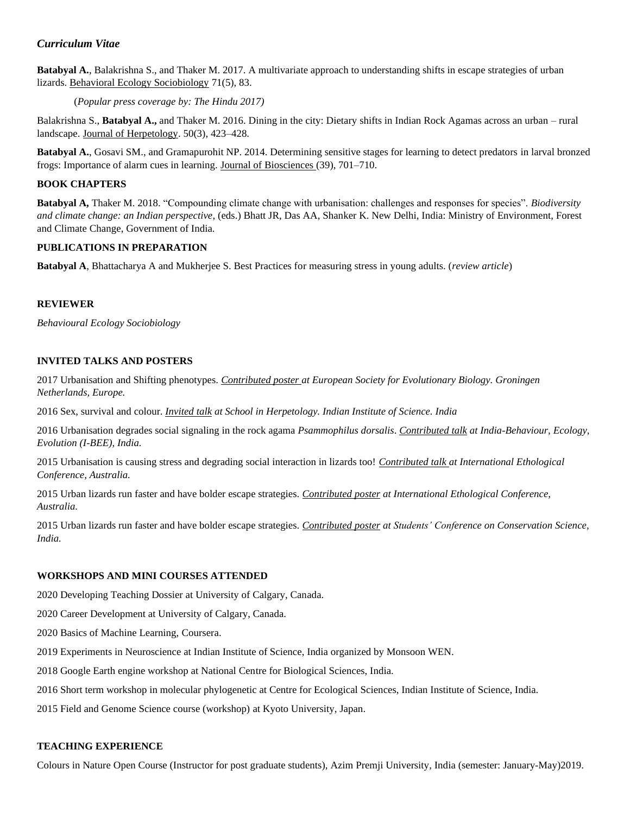## *Curriculum Vitae*

**Batabyal A.**, Balakrishna S., and Thaker M. 2017. A multivariate approach to understanding shifts in escape strategies of urban lizards. Behavioral Ecology Sociobiology 71(5), 83.

(*Popular press coverage by: The Hindu 2017)*

Balakrishna S., **Batabyal A.,** and Thaker M. 2016. Dining in the city: Dietary shifts in Indian Rock Agamas across an urban – rural landscape. Journal of Herpetology. 50(3), 423–428.

**Batabyal A.**, Gosavi SM., and Gramapurohit NP. 2014. Determining sensitive stages for learning to detect predators in larval bronzed frogs: Importance of alarm cues in learning. Journal of Biosciences (39), 701–710.

#### **BOOK CHAPTERS**

**Batabyal A,** Thaker M. 2018. "Compounding climate change with urbanisation: challenges and responses for species". *Biodiversity and climate change: an Indian perspective*, (eds.) Bhatt JR, Das AA, Shanker K. New Delhi, India: Ministry of Environment, Forest and Climate Change, Government of India.

#### **PUBLICATIONS IN PREPARATION**

**Batabyal A**, Bhattacharya A and Mukherjee S. Best Practices for measuring stress in young adults. (*review article*)

### **REVIEWER**

*Behavioural Ecology Sociobiology*

### **INVITED TALKS AND POSTERS**

2017 Urbanisation and Shifting phenotypes. *Contributed poster at European Society for Evolutionary Biology. Groningen Netherlands, Europe.*

2016 Sex, survival and colour. *Invited talk at School in Herpetology. Indian Institute of Science. India*

2016 Urbanisation degrades social signaling in the rock agama *Psammophilus dorsalis*. *Contributed talk at India-Behaviour, Ecology, Evolution (I-BEE), India.*

2015 Urbanisation is causing stress and degrading social interaction in lizards too! *Contributed talk at International Ethological Conference, Australia.*

2015 Urban lizards run faster and have bolder escape strategies. *Contributed poster at International Ethological Conference, Australia.*

2015 Urban lizards run faster and have bolder escape strategies. *Contributed poster at Students' Conference on Conservation Science, India.*

## **WORKSHOPS AND MINI COURSES ATTENDED**

2020 Developing Teaching Dossier at University of Calgary, Canada.

2020 Career Development at University of Calgary, Canada.

2020 Basics of Machine Learning, Coursera.

2019 Experiments in Neuroscience at Indian Institute of Science, India organized by Monsoon WEN.

2018 Google Earth engine workshop at National Centre for Biological Sciences, India.

2016 Short term workshop in molecular phylogenetic at Centre for Ecological Sciences, Indian Institute of Science, India.

2015 Field and Genome Science course (workshop) at Kyoto University, Japan.

#### **TEACHING EXPERIENCE**

Colours in Nature Open Course (Instructor for post graduate students), Azim Premji University, India (semester: January-May)2019.